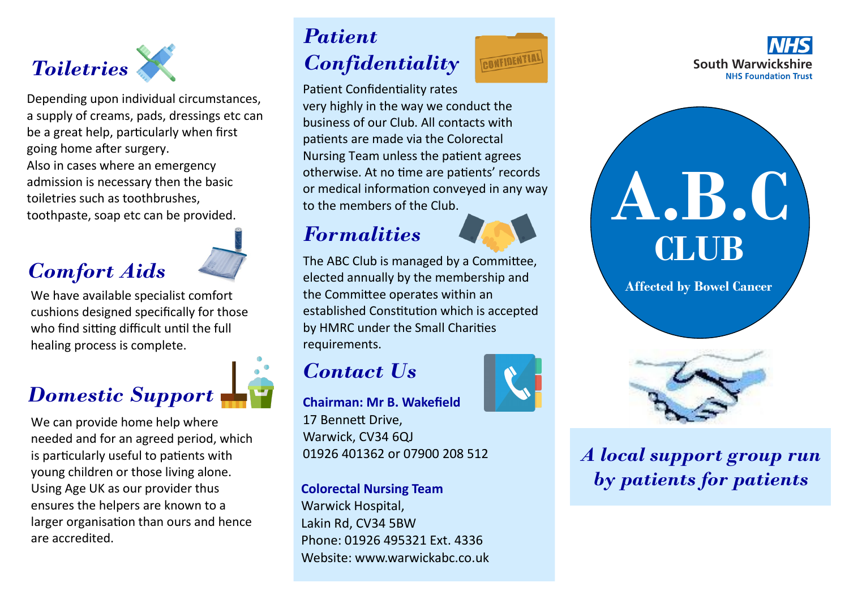

Depending upon individual circumstances, a supply of creams, pads, dressings etc can be a great help, particularly when first going home after surgery. Also in cases where an emergency admission is necessary then the basic toiletries such as toothbrushes, toothpaste, soap etc can be provided.

### *Comfort Aids*

We have available specialist comfort cushions designed specifically for those who find sitting difficult until the full healing process is complete.



We can provide home help where needed and for an agreed period, which is particularly useful to patients with young children or those living alone. Using Age UK as our provider thus ensures the helpers are known to a larger organisation than ours and hence are accredited.

# *Patient*

## *Confidentiality*

Patient Confidentiality rates very highly in the way we conduct the business of our Club. All contacts with patients are made via the Colorectal Nursing Team unless the patient agrees otherwise. At no time are patients' records or medical information conveyed in any way to the members of the Club.

### *Formalities*



The ABC Club is managed by a Committee, elected annually by the membership and the Committee operates within an established Constitution which is accepted by HMRC under the Small Charities requirements.

### *Contact Us*

**Chairman: Mr B. Wakefield** 17 Bennett Drive, Warwick, CV34 6QJ 01926 401362 or 07900 208 512

**Colorectal Nursing Team** Warwick Hospital, Lakin Rd, CV34 5BW Phone: 01926 495321 Ext. 4336 Website: www.warwickabc.co.uk







*A local support group run by patients for patients*